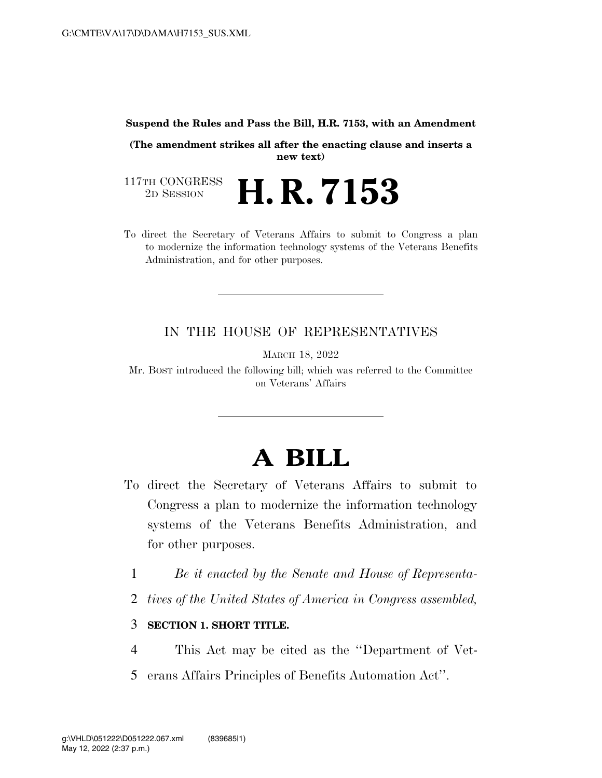#### **Suspend the Rules and Pass the Bill, H.R. 7153, with an Amendment**

**(The amendment strikes all after the enacting clause and inserts a new text)** 

117TH CONGRESS<br>2D SESSION 2D SESSION **H. R. 7153** 

To direct the Secretary of Veterans Affairs to submit to Congress a plan to modernize the information technology systems of the Veterans Benefits Administration, and for other purposes.

## IN THE HOUSE OF REPRESENTATIVES

MARCH 18, 2022

Mr. BOST introduced the following bill; which was referred to the Committee on Veterans' Affairs

# **A BILL**

- To direct the Secretary of Veterans Affairs to submit to Congress a plan to modernize the information technology systems of the Veterans Benefits Administration, and for other purposes.
	- 1 *Be it enacted by the Senate and House of Representa-*
	- 2 *tives of the United States of America in Congress assembled,*

### 3 **SECTION 1. SHORT TITLE.**

- 4 This Act may be cited as the ''Department of Vet-
- 5 erans Affairs Principles of Benefits Automation Act''.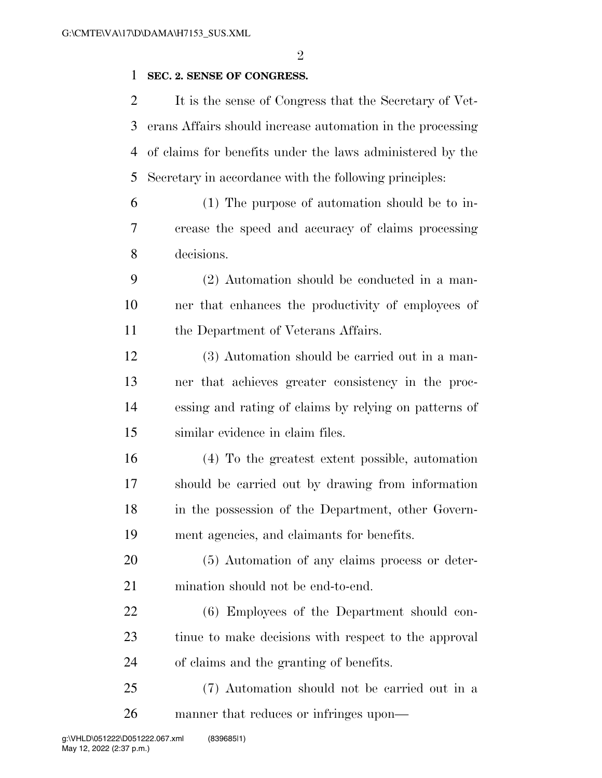$\mathfrak{D}$ 

### **SEC. 2. SENSE OF CONGRESS.**

 It is the sense of Congress that the Secretary of Vet- erans Affairs should increase automation in the processing of claims for benefits under the laws administered by the Secretary in accordance with the following principles:

 (1) The purpose of automation should be to in- crease the speed and accuracy of claims processing decisions.

 (2) Automation should be conducted in a man- ner that enhances the productivity of employees of 11 the Department of Veterans Affairs.

 (3) Automation should be carried out in a man- ner that achieves greater consistency in the proc- essing and rating of claims by relying on patterns of similar evidence in claim files.

 (4) To the greatest extent possible, automation should be carried out by drawing from information in the possession of the Department, other Govern-ment agencies, and claimants for benefits.

 (5) Automation of any claims process or deter-mination should not be end-to-end.

 (6) Employees of the Department should con- tinue to make decisions with respect to the approval of claims and the granting of benefits.

 (7) Automation should not be carried out in a manner that reduces or infringes upon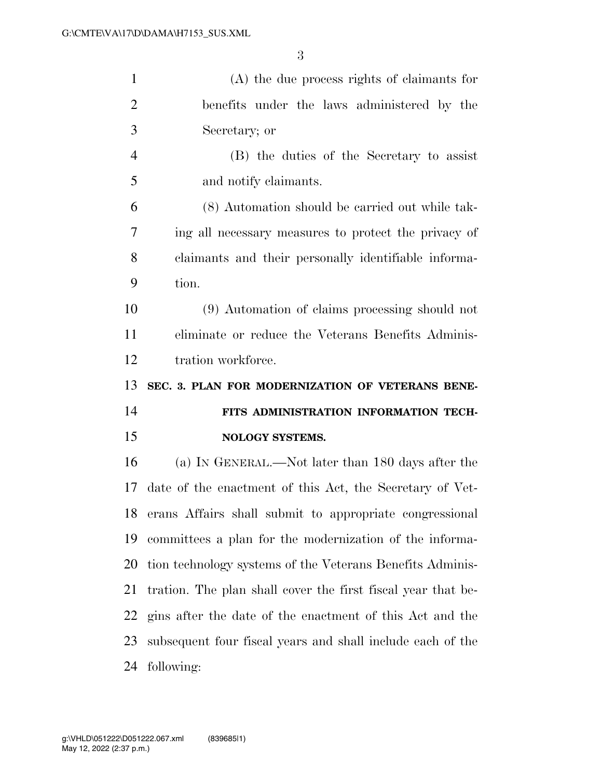| $\mathbf{1}$   | $(A)$ the due process rights of claimants for                |
|----------------|--------------------------------------------------------------|
| $\overline{2}$ | benefits under the laws administered by the                  |
| 3              | Secretary; or                                                |
| $\overline{4}$ | (B) the duties of the Secretary to assist                    |
| 5              | and notify claimants.                                        |
| 6              | (8) Automation should be carried out while tak-              |
| 7              | ing all necessary measures to protect the privacy of         |
| 8              | claimants and their personally identifiable informa-         |
| 9              | tion.                                                        |
| 10             | (9) Automation of claims processing should not               |
| 11             | eliminate or reduce the Veterans Benefits Adminis-           |
| 12             | tration workforce.                                           |
|                |                                                              |
| 13             | SEC. 3. PLAN FOR MODERNIZATION OF VETERANS BENE-             |
| 14             | FITS ADMINISTRATION INFORMATION TECH-                        |
| 15             | NOLOGY SYSTEMS.                                              |
| 16             | (a) IN GENERAL.—Not later than 180 days after the            |
| 17             | date of the enactment of this Act, the Secretary of Vet-     |
| 18             | erans Affairs shall submit to appropriate congressional      |
| 19             | committees a plan for the modernization of the informa-      |
| 20             | tion technology systems of the Veterans Benefits Adminis-    |
| 21             | tration. The plan shall cover the first fiscal year that be- |
| 22             | gins after the date of the enactment of this Act and the     |
| 23             | subsequent four fiscal years and shall include each of the   |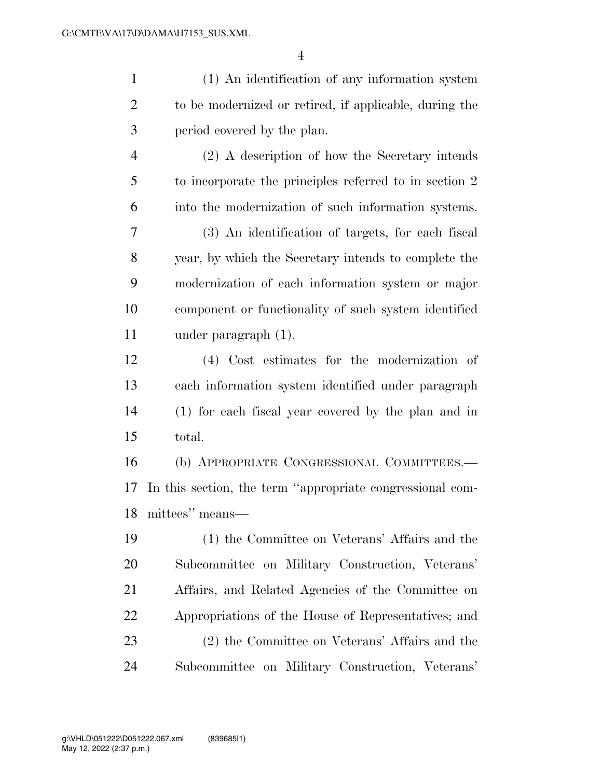(1) An identification of any information system to be modernized or retired, if applicable, during the period covered by the plan. (2) A description of how the Secretary intends to incorporate the principles referred to in section 2 into the modernization of such information systems. (3) An identification of targets, for each fiscal year, by which the Secretary intends to complete the modernization of each information system or major component or functionality of such system identified under paragraph (1). (4) Cost estimates for the modernization of each information system identified under paragraph (1) for each fiscal year covered by the plan and in total. (b) APPROPRIATE CONGRESSIONAL COMMITTEES.— In this section, the term ''appropriate congressional com- mittees'' means— (1) the Committee on Veterans' Affairs and the Subcommittee on Military Construction, Veterans' Affairs, and Related Agencies of the Committee on Appropriations of the House of Representatives; and

 (2) the Committee on Veterans' Affairs and the Subcommittee on Military Construction, Veterans'